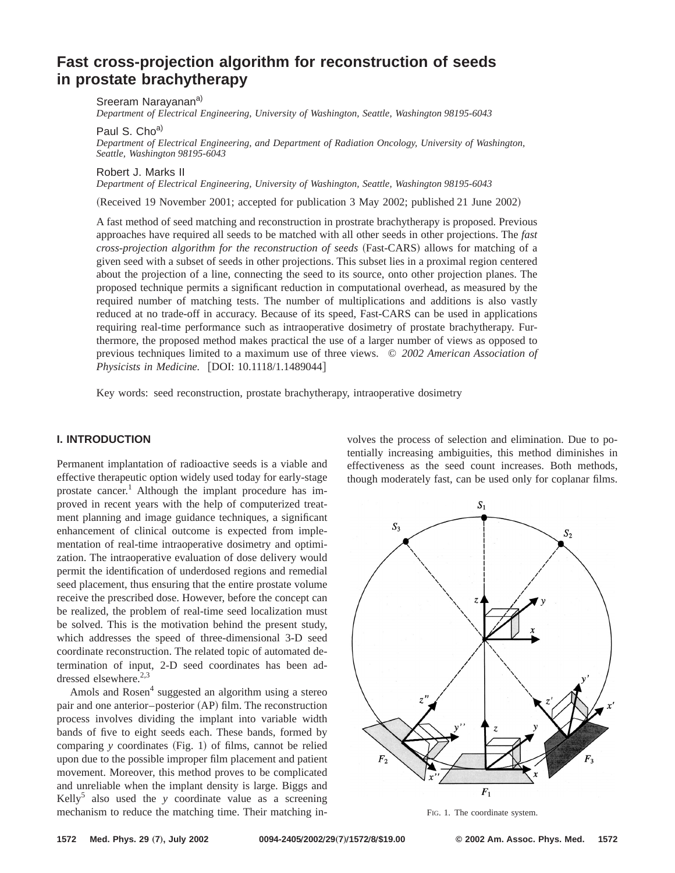# **Fast cross-projection algorithm for reconstruction of seeds in prostate brachytherapy**

Sreeram Narayanana)

*Department of Electrical Engineering, University of Washington, Seattle, Washington 98195-6043*

Paul S. Cho<sup>a)</sup>

*Department of Electrical Engineering, and Department of Radiation Oncology, University of Washington, Seattle, Washington 98195-6043*

Robert J. Marks II

*Department of Electrical Engineering, University of Washington, Seattle, Washington 98195-6043*

(Received 19 November 2001; accepted for publication 3 May 2002; published 21 June 2002)

A fast method of seed matching and reconstruction in prostrate brachytherapy is proposed. Previous approaches have required all seeds to be matched with all other seeds in other projections. The *fast cross-projection algorithm for the reconstruction of seeds* (Fast-CARS) allows for matching of a given seed with a subset of seeds in other projections. This subset lies in a proximal region centered about the projection of a line, connecting the seed to its source, onto other projection planes. The proposed technique permits a significant reduction in computational overhead, as measured by the required number of matching tests. The number of multiplications and additions is also vastly reduced at no trade-off in accuracy. Because of its speed, Fast-CARS can be used in applications requiring real-time performance such as intraoperative dosimetry of prostate brachytherapy. Furthermore, the proposed method makes practical the use of a larger number of views as opposed to previous techniques limited to a maximum use of three views. © *2002 American Association of Physicists in Medicine.* [DOI: 10.1118/1.1489044]

Key words: seed reconstruction, prostate brachytherapy, intraoperative dosimetry

# **I. INTRODUCTION**

Permanent implantation of radioactive seeds is a viable and effective therapeutic option widely used today for early-stage prostate cancer.<sup>1</sup> Although the implant procedure has improved in recent years with the help of computerized treatment planning and image guidance techniques, a significant enhancement of clinical outcome is expected from implementation of real-time intraoperative dosimetry and optimization. The intraoperative evaluation of dose delivery would permit the identification of underdosed regions and remedial seed placement, thus ensuring that the entire prostate volume receive the prescribed dose. However, before the concept can be realized, the problem of real-time seed localization must be solved. This is the motivation behind the present study, which addresses the speed of three-dimensional 3-D seed coordinate reconstruction. The related topic of automated determination of input, 2-D seed coordinates has been addressed elsewhere. $2,3$ 

Amols and Rosen<sup>4</sup> suggested an algorithm using a stereo pair and one anterior–posterior (AP) film. The reconstruction process involves dividing the implant into variable width bands of five to eight seeds each. These bands, formed by comparing  $y$  coordinates (Fig. 1) of films, cannot be relied upon due to the possible improper film placement and patient movement. Moreover, this method proves to be complicated and unreliable when the implant density is large. Biggs and Kelly<sup>5</sup> also used the *y* coordinate value as a screening mechanism to reduce the matching time. Their matching involves the process of selection and elimination. Due to potentially increasing ambiguities, this method diminishes in effectiveness as the seed count increases. Both methods, though moderately fast, can be used only for coplanar films.



FIG. 1. The coordinate system.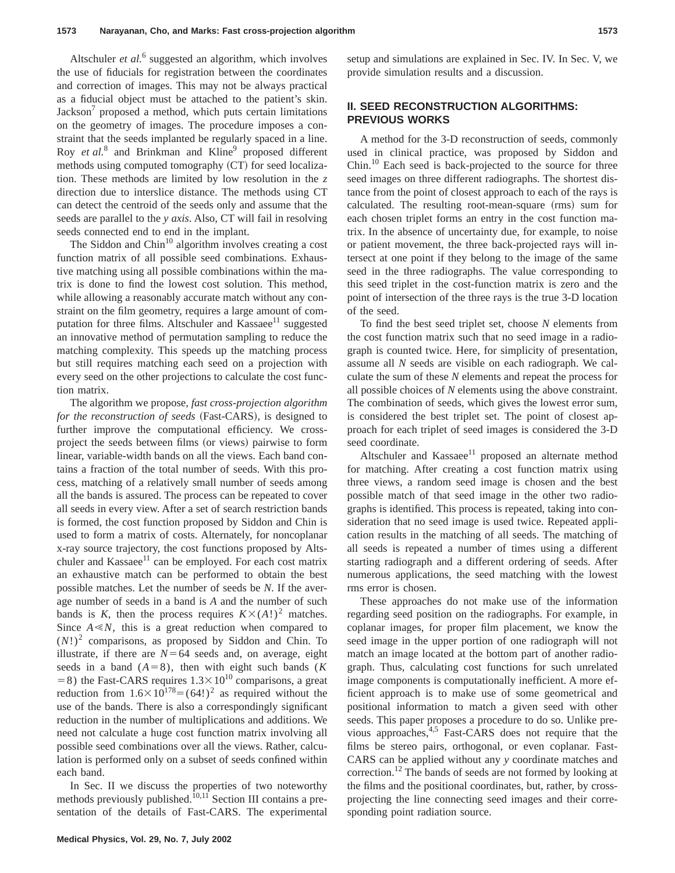Altschuler *et al.*<sup>6</sup> suggested an algorithm, which involves the use of fiducials for registration between the coordinates and correction of images. This may not be always practical as a fiducial object must be attached to the patient's skin.  $Jackson<sup>7</sup>$  proposed a method, which puts certain limitations on the geometry of images. The procedure imposes a constraint that the seeds implanted be regularly spaced in a line. Roy *et al.*<sup>8</sup> and Brinkman and Kline<sup>9</sup> proposed different methods using computed tomography  $(CT)$  for seed localization. These methods are limited by low resolution in the *z* direction due to interslice distance. The methods using CT can detect the centroid of the seeds only and assume that the seeds are parallel to the *y axis*. Also, CT will fail in resolving seeds connected end to end in the implant.

The Siddon and  $Chin<sup>10</sup>$  algorithm involves creating a cost function matrix of all possible seed combinations. Exhaustive matching using all possible combinations within the matrix is done to find the lowest cost solution. This method, while allowing a reasonably accurate match without any constraint on the film geometry, requires a large amount of computation for three films. Altschuler and  $Kassae<sup>11</sup>$  suggested an innovative method of permutation sampling to reduce the matching complexity. This speeds up the matching process but still requires matching each seed on a projection with every seed on the other projections to calculate the cost function matrix.

The algorithm we propose, *fast cross-projection algorithm for the reconstruction of seeds* (Fast-CARS), is designed to further improve the computational efficiency. We crossproject the seeds between films (or views) pairwise to form linear, variable-width bands on all the views. Each band contains a fraction of the total number of seeds. With this process, matching of a relatively small number of seeds among all the bands is assured. The process can be repeated to cover all seeds in every view. After a set of search restriction bands is formed, the cost function proposed by Siddon and Chin is used to form a matrix of costs. Alternately, for noncoplanar x-ray source trajectory, the cost functions proposed by Altschuler and Kassaee<sup>11</sup> can be employed. For each cost matrix an exhaustive match can be performed to obtain the best possible matches. Let the number of seeds be *N*. If the average number of seeds in a band is *A* and the number of such bands is *K*, then the process requires  $K \times (A!)^2$  matches. Since  $A \ll N$ , this is a great reduction when compared to  $(N!)^2$  comparisons, as proposed by Siddon and Chin. To illustrate, if there are  $N=64$  seeds and, on average, eight seeds in a band  $(A=8)$ , then with eight such bands (*K*)  $= 8$ ) the Fast-CARS requires  $1.3 \times 10^{10}$  comparisons, a great reduction from  $1.6\times10^{178}=(64!)^2$  as required without the use of the bands. There is also a correspondingly significant reduction in the number of multiplications and additions. We need not calculate a huge cost function matrix involving all possible seed combinations over all the views. Rather, calculation is performed only on a subset of seeds confined within each band.

In Sec. II we discuss the properties of two noteworthy methods previously published.<sup>10,11</sup> Section III contains a presentation of the details of Fast-CARS. The experimental setup and simulations are explained in Sec. IV. In Sec. V, we provide simulation results and a discussion.

# **II. SEED RECONSTRUCTION ALGORITHMS: PREVIOUS WORKS**

A method for the 3-D reconstruction of seeds, commonly used in clinical practice, was proposed by Siddon and Chin.<sup>10</sup> Each seed is back-projected to the source for three seed images on three different radiographs. The shortest distance from the point of closest approach to each of the rays is calculated. The resulting root-mean-square (rms) sum for each chosen triplet forms an entry in the cost function matrix. In the absence of uncertainty due, for example, to noise or patient movement, the three back-projected rays will intersect at one point if they belong to the image of the same seed in the three radiographs. The value corresponding to this seed triplet in the cost-function matrix is zero and the point of intersection of the three rays is the true 3-D location of the seed.

To find the best seed triplet set, choose *N* elements from the cost function matrix such that no seed image in a radiograph is counted twice. Here, for simplicity of presentation, assume all *N* seeds are visible on each radiograph. We calculate the sum of these *N* elements and repeat the process for all possible choices of *N* elements using the above constraint. The combination of seeds, which gives the lowest error sum, is considered the best triplet set. The point of closest approach for each triplet of seed images is considered the 3-D seed coordinate.

Altschuler and Kassaee $11$  proposed an alternate method for matching. After creating a cost function matrix using three views, a random seed image is chosen and the best possible match of that seed image in the other two radiographs is identified. This process is repeated, taking into consideration that no seed image is used twice. Repeated application results in the matching of all seeds. The matching of all seeds is repeated a number of times using a different starting radiograph and a different ordering of seeds. After numerous applications, the seed matching with the lowest rms error is chosen.

These approaches do not make use of the information regarding seed position on the radiographs. For example, in coplanar images, for proper film placement, we know the seed image in the upper portion of one radiograph will not match an image located at the bottom part of another radiograph. Thus, calculating cost functions for such unrelated image components is computationally inefficient. A more efficient approach is to make use of some geometrical and positional information to match a given seed with other seeds. This paper proposes a procedure to do so. Unlike previous approaches,4,5 Fast-CARS does not require that the films be stereo pairs, orthogonal, or even coplanar. Fast-CARS can be applied without any *y* coordinate matches and correction.12 The bands of seeds are not formed by looking at the films and the positional coordinates, but, rather, by crossprojecting the line connecting seed images and their corresponding point radiation source.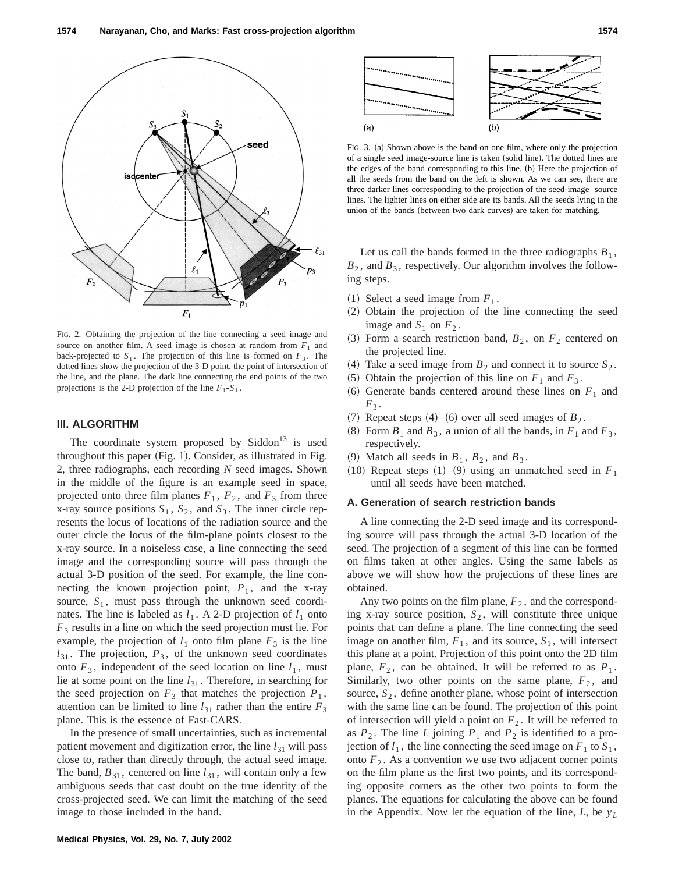

FIG. 2. Obtaining the projection of the line connecting a seed image and source on another film. A seed image is chosen at random from  $F_1$  and back-projected to  $S_1$ . The projection of this line is formed on  $F_3$ . The dotted lines show the projection of the 3-D point, the point of intersection of the line, and the plane. The dark line connecting the end points of the two projections is the 2-D projection of the line  $F_1 - S_1$ .

## **III. ALGORITHM**

The coordinate system proposed by  $Siddon<sup>13</sup>$  is used throughout this paper  $(Fig. 1)$ . Consider, as illustrated in Fig. 2, three radiographs, each recording *N* seed images. Shown in the middle of the figure is an example seed in space, projected onto three film planes  $F_1$ ,  $F_2$ , and  $F_3$  from three x-ray source positions  $S_1$ ,  $S_2$ , and  $S_3$ . The inner circle represents the locus of locations of the radiation source and the outer circle the locus of the film-plane points closest to the x-ray source. In a noiseless case, a line connecting the seed image and the corresponding source will pass through the actual 3-D position of the seed. For example, the line connecting the known projection point,  $P_1$ , and the x-ray source,  $S_1$ , must pass through the unknown seed coordinates. The line is labeled as  $l_1$ . A 2-D projection of  $l_1$  onto *F*<sup>3</sup> results in a line on which the seed projection must lie. For example, the projection of  $l_1$  onto film plane  $F_3$  is the line  $l_{31}$ . The projection,  $P_3$ , of the unknown seed coordinates onto  $F_3$ , independent of the seed location on line  $l_1$ , must lie at some point on the line  $l_{31}$ . Therefore, in searching for the seed projection on  $F_3$  that matches the projection  $P_1$ , attention can be limited to line  $l_{31}$  rather than the entire  $F_3$ plane. This is the essence of Fast-CARS.

In the presence of small uncertainties, such as incremental patient movement and digitization error, the line  $l_{31}$  will pass close to, rather than directly through, the actual seed image. The band,  $B_{31}$ , centered on line  $l_{31}$ , will contain only a few ambiguous seeds that cast doubt on the true identity of the cross-projected seed. We can limit the matching of the seed image to those included in the band.



FIG. 3. (a) Shown above is the band on one film, where only the projection of a single seed image-source line is taken (solid line). The dotted lines are the edges of the band corresponding to this line. (b) Here the projection of all the seeds from the band on the left is shown. As we can see, there are three darker lines corresponding to the projection of the seed-image–source lines. The lighter lines on either side are its bands. All the seeds lying in the union of the bands (between two dark curves) are taken for matching.

Let us call the bands formed in the three radiographs  $B_1$ ,  $B_2$ , and  $B_3$ , respectively. Our algorithm involves the following steps.

- $(1)$  Select a seed image from  $F_1$ .
- (2) Obtain the projection of the line connecting the seed image and  $S_1$  on  $F_2$ .
- (3) Form a search restriction band,  $B_2$ , on  $F_2$  centered on the projected line.
- (4) Take a seed image from  $B_2$  and connect it to source  $S_2$ .
- $(5)$  Obtain the projection of this line on  $F_1$  and  $F_3$ .
- $(6)$  Generate bands centered around these lines on  $F_1$  and  $F_3$ .
- $(7)$  Repeat steps  $(4)$ – $(6)$  over all seed images of  $B_2$ .
- $(8)$  Form  $B_1$  and  $B_3$ , a union of all the bands, in  $F_1$  and  $F_3$ , respectively.
- (9) Match all seeds in  $B_1$ ,  $B_2$ , and  $B_3$ .
- $(10)$  Repeat steps  $(1)$ – $(9)$  using an unmatched seed in  $F_1$ until all seeds have been matched.

## **A. Generation of search restriction bands**

A line connecting the 2-D seed image and its corresponding source will pass through the actual 3-D location of the seed. The projection of a segment of this line can be formed on films taken at other angles. Using the same labels as above we will show how the projections of these lines are obtained.

Any two points on the film plane,  $F<sub>2</sub>$ , and the corresponding x-ray source position,  $S_2$ , will constitute three unique points that can define a plane. The line connecting the seed image on another film,  $F_1$ , and its source,  $S_1$ , will intersect this plane at a point. Projection of this point onto the 2D film plane,  $F_2$ , can be obtained. It will be referred to as  $P_1$ . Similarly, two other points on the same plane,  $F_2$ , and source,  $S_2$ , define another plane, whose point of intersection with the same line can be found. The projection of this point of intersection will yield a point on  $F_2$ . It will be referred to as  $P_2$ . The line *L* joining  $P_1$  and  $P_2$  is identified to a projection of  $l_1$ , the line connecting the seed image on  $F_1$  to  $S_1$ , onto  $F<sub>2</sub>$ . As a convention we use two adjacent corner points on the film plane as the first two points, and its corresponding opposite corners as the other two points to form the planes. The equations for calculating the above can be found in the Appendix. Now let the equation of the line, *L*, be *yL*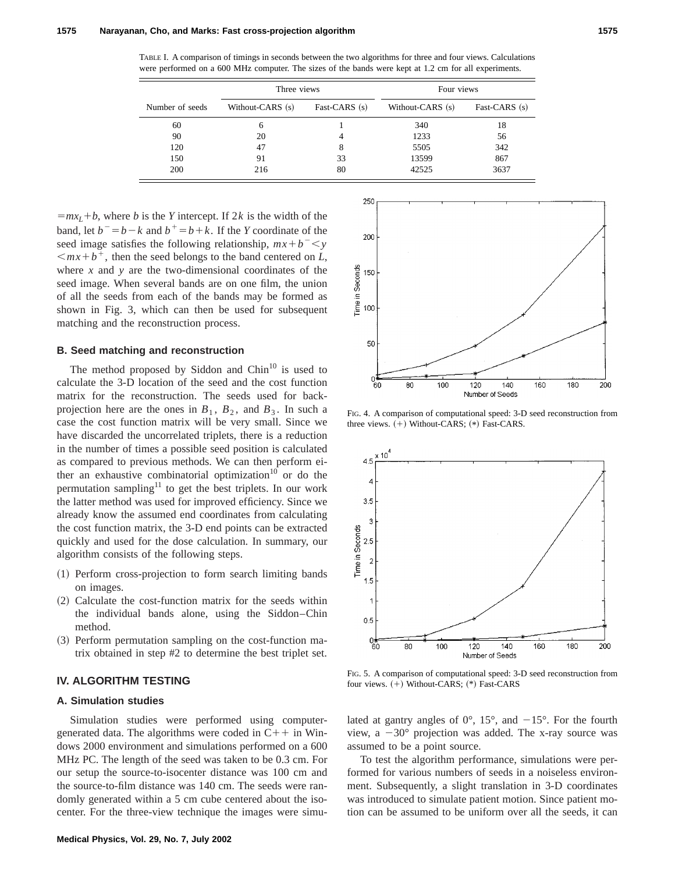TABLE I. A comparison of timings in seconds between the two algorithms for three and four views. Calculations were performed on a 600 MHz computer. The sizes of the bands were kept at 1.2 cm for all experiments.

|                 | Three views      |               | Four views       |               |  |
|-----------------|------------------|---------------|------------------|---------------|--|
| Number of seeds | Without-CARS (s) | Fast-CARS (s) | Without-CARS (s) | Fast-CARS (s) |  |
| 60              | 6                |               | 340              | 18            |  |
| 90              | 20               |               | 1233             | 56            |  |
| 120             | 47               | 8             | 5505             | 342           |  |
| 150             | 91               | 33            | 13599            | 867           |  |
| 200             | 216              | 80            | 42525            | 3637          |  |

 $=mx_L+b$ , where *b* is the *Y* intercept. If 2*k* is the width of the band, let  $b^- = b - k$  and  $b^+ = b + k$ . If the *Y* coordinate of the seed image satisfies the following relationship,  $mx + b^- < y$  $\langle mx+b^+,$  then the seed belongs to the band centered on *L*, where *x* and *y* are the two-dimensional coordinates of the seed image. When several bands are on one film, the union of all the seeds from each of the bands may be formed as shown in Fig. 3, which can then be used for subsequent matching and the reconstruction process.

## **B. Seed matching and reconstruction**

The method proposed by Siddon and  $Chin<sup>10</sup>$  is used to calculate the 3-D location of the seed and the cost function matrix for the reconstruction. The seeds used for backprojection here are the ones in  $B_1$ ,  $B_2$ , and  $B_3$ . In such a case the cost function matrix will be very small. Since we have discarded the uncorrelated triplets, there is a reduction in the number of times a possible seed position is calculated as compared to previous methods. We can then perform either an exhaustive combinatorial optimization<sup>10</sup> or do the permutation sampling<sup>11</sup> to get the best triplets. In our work the latter method was used for improved efficiency. Since we already know the assumed end coordinates from calculating the cost function matrix, the 3-D end points can be extracted quickly and used for the dose calculation. In summary, our algorithm consists of the following steps.

- ~1! Perform cross-projection to form search limiting bands on images.
- $(2)$  Calculate the cost-function matrix for the seeds within the individual bands alone, using the Siddon–Chin method.
- ~3! Perform permutation sampling on the cost-function matrix obtained in step #2 to determine the best triplet set.

# **IV. ALGORITHM TESTING**

## **A. Simulation studies**

Simulation studies were performed using computergenerated data. The algorithms were coded in  $C_{+}$  in Windows 2000 environment and simulations performed on a 600 MHz PC. The length of the seed was taken to be 0.3 cm. For our setup the source-to-isocenter distance was 100 cm and the source-to-film distance was 140 cm. The seeds were randomly generated within a 5 cm cube centered about the isocenter. For the three-view technique the images were simu-



FIG. 4. A comparison of computational speed: 3-D seed reconstruction from three views.  $(+)$  Without-CARS;  $(*)$  Fast-CARS.



FIG. 5. A comparison of computational speed: 3-D seed reconstruction from four views.  $(+)$  Without-CARS;  $(*)$  Fast-CARS

lated at gantry angles of  $0^{\circ}$ , 15°, and  $-15^{\circ}$ . For the fourth view, a  $-30^{\circ}$  projection was added. The x-ray source was assumed to be a point source.

To test the algorithm performance, simulations were performed for various numbers of seeds in a noiseless environment. Subsequently, a slight translation in 3-D coordinates was introduced to simulate patient motion. Since patient motion can be assumed to be uniform over all the seeds, it can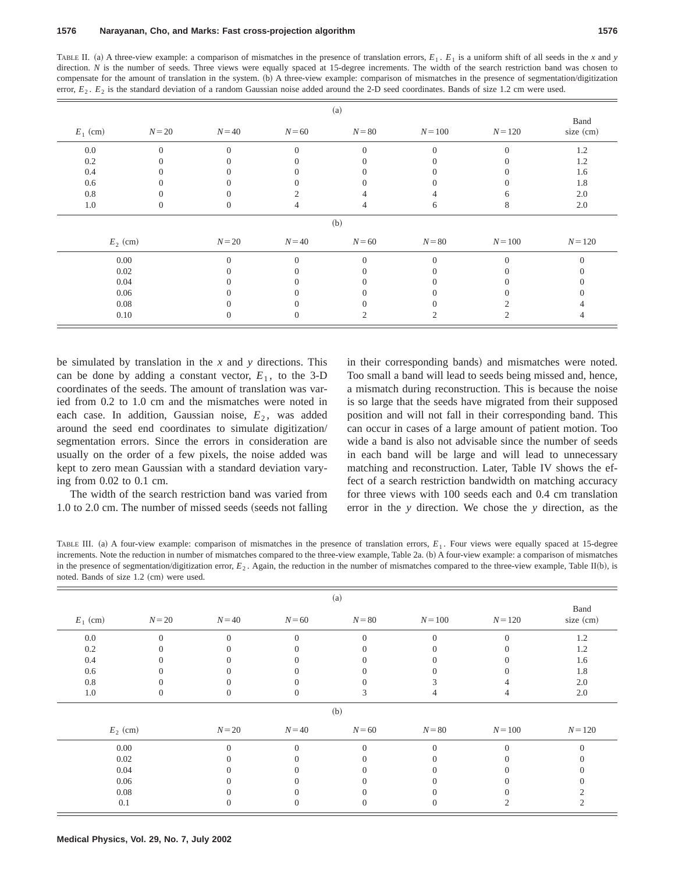TABLE II. (a) A three-view example: a comparison of mismatches in the presence of translation errors,  $E_1$ ,  $E_1$  is a uniform shift of all seeds in the *x* and *y* direction. *N* is the number of seeds. Three views were equally spaced at 15-degree increments. The width of the search restriction band was chosen to compensate for the amount of translation in the system. (b) A three-view example: comparison of mismatches in the presence of segmentation/digitization error,  $E_2$ .  $E_2$  is the standard deviation of a random Gaussian noise added around the 2-D seed coordinates. Bands of size 1.2 cm were used.

| (a)        |          |          |                |          |           |           |                   |
|------------|----------|----------|----------------|----------|-----------|-----------|-------------------|
| $E_1$ (cm) | $N=20$   | $N=40$   | $N=60$         | $N=80$   | $N = 100$ | $N = 120$ | Band<br>size (cm) |
| $0.0\,$    | $\Omega$ | $\Omega$ | $\overline{0}$ | $\Omega$ | $\Omega$  | 0         | 1.2               |
| 0.2        |          |          |                |          |           |           | 1.2               |
| 0.4        |          |          |                |          |           |           | 1.6               |
| 0.6        |          |          |                |          |           |           | 1.8               |
| 0.8        |          |          |                |          |           |           | 2.0               |
| 1.0        |          | $^{(1)}$ |                |          | 6         | 8         | 2.0               |
|            |          |          |                | (b)      |           |           |                   |
| $E_2$ (cm) |          | $N=20$   | $N=40$         | $N = 60$ | $N=80$    | $N = 100$ | $N = 120$         |
| 0.00       |          | $\Omega$ | $\Omega$       | $\Omega$ | $\Omega$  |           |                   |
| 0.02       |          |          |                |          |           |           |                   |
| 0.04       |          |          |                |          |           |           |                   |
| 0.06       |          |          |                |          |           |           |                   |
| 0.08       |          |          |                |          |           |           |                   |
| 0.10       |          | 0        | U              |          | 2         |           | 4                 |

be simulated by translation in the *x* and *y* directions. This can be done by adding a constant vector,  $E_1$ , to the 3-D coordinates of the seeds. The amount of translation was varied from 0.2 to 1.0 cm and the mismatches were noted in each case. In addition, Gaussian noise,  $E<sub>2</sub>$ , was added around the seed end coordinates to simulate digitization/ segmentation errors. Since the errors in consideration are usually on the order of a few pixels, the noise added was kept to zero mean Gaussian with a standard deviation varying from 0.02 to 0.1 cm.

The width of the search restriction band was varied from  $1.0$  to  $2.0$  cm. The number of missed seeds (seeds not falling in their corresponding bands) and mismatches were noted. Too small a band will lead to seeds being missed and, hence, a mismatch during reconstruction. This is because the noise is so large that the seeds have migrated from their supposed position and will not fall in their corresponding band. This can occur in cases of a large amount of patient motion. Too wide a band is also not advisable since the number of seeds in each band will be large and will lead to unnecessary matching and reconstruction. Later, Table IV shows the effect of a search restriction bandwidth on matching accuracy for three views with 100 seeds each and 0.4 cm translation error in the *y* direction. We chose the *y* direction, as the

TABLE III. (a) A four-view example: comparison of mismatches in the presence of translation errors,  $E_1$ . Four views were equally spaced at 15-degree increments. Note the reduction in number of mismatches compared to the three-view example, Table 2a. (b) A four-view example: a comparison of mismatches in the presence of segmentation/digitization error,  $E_2$ . Again, the reduction in the number of mismatches compared to the three-view example, Table II(b), is noted. Bands of size  $1.2 ~(cm)$  were used.

| (a)        |          |          |          |          |           |           |                   |
|------------|----------|----------|----------|----------|-----------|-----------|-------------------|
| $E_1$ (cm) | $N=20$   | $N = 40$ | $N=60$   | $N=80$   | $N = 100$ | $N = 120$ | Band<br>size (cm) |
| $0.0\,$    | $\Omega$ | $\Omega$ | $\Omega$ | $\Omega$ | $\Omega$  | $\Omega$  | 1.2               |
| 0.2        |          |          |          |          |           |           | 1.2               |
| $0.4\,$    |          |          |          |          |           |           | 1.6               |
| 0.6        |          |          |          |          |           |           | 1.8               |
| $0.8\,$    |          |          |          |          |           |           | 2.0               |
| $1.0\,$    |          | $\left($ | $\theta$ | 3        | 4         | 4         | 2.0               |
|            |          |          |          | (b)      |           |           |                   |
| $E_2$ (cm) |          | $N=20$   | $N=40$   | $N=60$   | $N=80$    | $N = 100$ | $N = 120$         |
| 0.00       |          | $\Omega$ | $\theta$ | $\Omega$ | $\Omega$  | $\Omega$  | $\theta$          |
| 0.02       |          |          |          |          |           |           |                   |
| 0.04       |          |          |          |          |           |           |                   |
| 0.06       |          |          |          |          |           |           |                   |
| 0.08       |          |          |          |          |           |           |                   |
| 0.1        |          |          |          |          |           |           |                   |
|            |          |          |          |          |           |           |                   |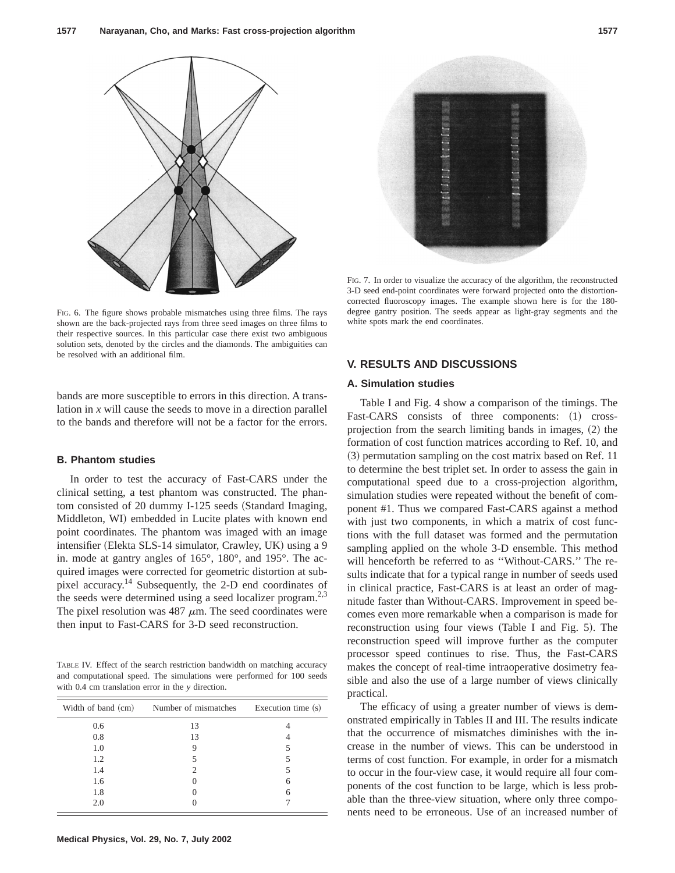

FIG. 6. The figure shows probable mismatches using three films. The rays shown are the back-projected rays from three seed images on three films to their respective sources. In this particular case there exist two ambiguous solution sets, denoted by the circles and the diamonds. The ambiguities can be resolved with an additional film.

bands are more susceptible to errors in this direction. A translation in *x* will cause the seeds to move in a direction parallel to the bands and therefore will not be a factor for the errors.

## **B. Phantom studies**

In order to test the accuracy of Fast-CARS under the clinical setting, a test phantom was constructed. The phantom consisted of 20 dummy I-125 seeds (Standard Imaging, Middleton, WI) embedded in Lucite plates with known end point coordinates. The phantom was imaged with an image intensifier (Elekta SLS-14 simulator, Crawley, UK) using a 9 in. mode at gantry angles of 165°, 180°, and 195°. The acquired images were corrected for geometric distortion at subpixel accuracy.14 Subsequently, the 2-D end coordinates of the seeds were determined using a seed localizer program.<sup>2,3</sup> The pixel resolution was 487  $\mu$ m. The seed coordinates were then input to Fast-CARS for 3-D seed reconstruction.

TABLE IV. Effect of the search restriction bandwidth on matching accuracy and computational speed. The simulations were performed for 100 seeds with 0.4 cm translation error in the *y* direction.

| Width of band (cm) | Number of mismatches | Execution time (s) |
|--------------------|----------------------|--------------------|
| 0.6                | 13                   |                    |
| 0.8                | 13                   |                    |
| 1.0                |                      |                    |
| 1.2                |                      |                    |
| 1.4                | 2                    | 5                  |
| 1.6                |                      | 6                  |
| 1.8                |                      | 6                  |
| 2.0                |                      |                    |

FIG. 7. In order to visualize the accuracy of the algorithm, the reconstructed 3-D seed end-point coordinates were forward projected onto the distortioncorrected fluoroscopy images. The example shown here is for the 180 degree gantry position. The seeds appear as light-gray segments and the white spots mark the end coordinates.

# **V. RESULTS AND DISCUSSIONS**

## **A. Simulation studies**

Table I and Fig. 4 show a comparison of the timings. The Fast-CARS consists of three components: (1) crossprojection from the search limiting bands in images,  $(2)$  the formation of cost function matrices according to Ref. 10, and  $(3)$  permutation sampling on the cost matrix based on Ref. 11 to determine the best triplet set. In order to assess the gain in computational speed due to a cross-projection algorithm, simulation studies were repeated without the benefit of component #1. Thus we compared Fast-CARS against a method with just two components, in which a matrix of cost functions with the full dataset was formed and the permutation sampling applied on the whole 3-D ensemble. This method will henceforth be referred to as "Without-CARS." The results indicate that for a typical range in number of seeds used in clinical practice, Fast-CARS is at least an order of magnitude faster than Without-CARS. Improvement in speed becomes even more remarkable when a comparison is made for reconstruction using four views (Table I and Fig.  $5$ ). The reconstruction speed will improve further as the computer processor speed continues to rise. Thus, the Fast-CARS makes the concept of real-time intraoperative dosimetry feasible and also the use of a large number of views clinically practical.

The efficacy of using a greater number of views is demonstrated empirically in Tables II and III. The results indicate that the occurrence of mismatches diminishes with the increase in the number of views. This can be understood in terms of cost function. For example, in order for a mismatch to occur in the four-view case, it would require all four components of the cost function to be large, which is less probable than the three-view situation, where only three components need to be erroneous. Use of an increased number of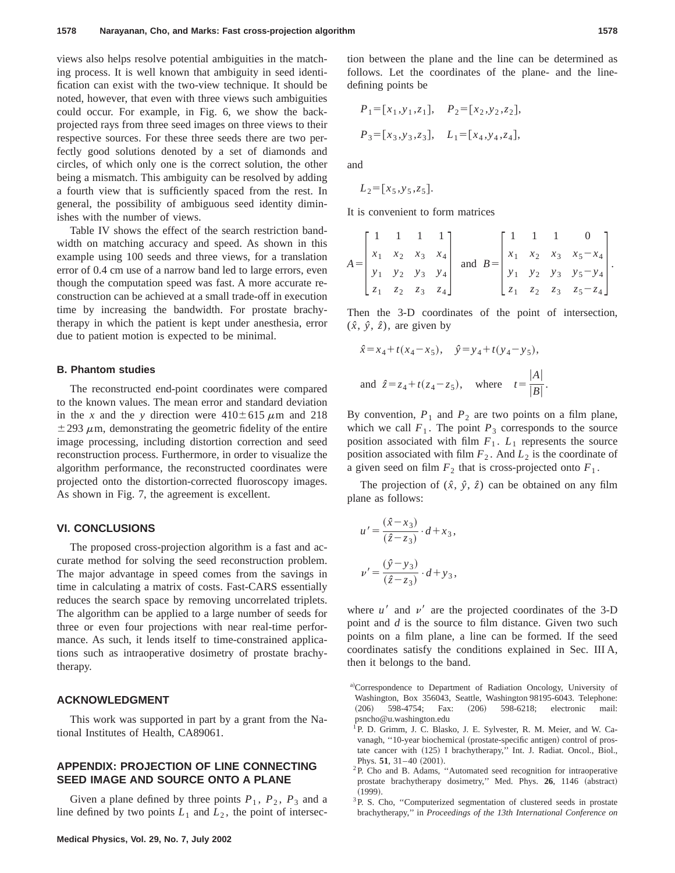views also helps resolve potential ambiguities in the matching process. It is well known that ambiguity in seed identification can exist with the two-view technique. It should be noted, however, that even with three views such ambiguities could occur. For example, in Fig. 6, we show the backprojected rays from three seed images on three views to their respective sources. For these three seeds there are two perfectly good solutions denoted by a set of diamonds and circles, of which only one is the correct solution, the other being a mismatch. This ambiguity can be resolved by adding a fourth view that is sufficiently spaced from the rest. In general, the possibility of ambiguous seed identity diminishes with the number of views.

Table IV shows the effect of the search restriction bandwidth on matching accuracy and speed. As shown in this example using 100 seeds and three views, for a translation error of 0.4 cm use of a narrow band led to large errors, even though the computation speed was fast. A more accurate reconstruction can be achieved at a small trade-off in execution time by increasing the bandwidth. For prostate brachytherapy in which the patient is kept under anesthesia, error due to patient motion is expected to be minimal.

## **B. Phantom studies**

The reconstructed end-point coordinates were compared to the known values. The mean error and standard deviation in the *x* and the *y* direction were  $410 \pm 615 \mu$ m and 218  $\pm$  293  $\mu$ m, demonstrating the geometric fidelity of the entire image processing, including distortion correction and seed reconstruction process. Furthermore, in order to visualize the algorithm performance, the reconstructed coordinates were projected onto the distortion-corrected fluoroscopy images. As shown in Fig. 7, the agreement is excellent.

## **VI. CONCLUSIONS**

The proposed cross-projection algorithm is a fast and accurate method for solving the seed reconstruction problem. The major advantage in speed comes from the savings in time in calculating a matrix of costs. Fast-CARS essentially reduces the search space by removing uncorrelated triplets. The algorithm can be applied to a large number of seeds for three or even four projections with near real-time performance. As such, it lends itself to time-constrained applications such as intraoperative dosimetry of prostate brachytherapy.

## **ACKNOWLEDGMENT**

This work was supported in part by a grant from the National Institutes of Health, CA89061.

# **APPENDIX: PROJECTION OF LINE CONNECTING SEED IMAGE AND SOURCE ONTO A PLANE**

Given a plane defined by three points  $P_1$ ,  $P_2$ ,  $P_3$  and a line defined by two points  $L_1$  and  $L_2$ , the point of intersection between the plane and the line can be determined as follows. Let the coordinates of the plane- and the linedefining points be

$$
P_1 = [x_1, y_1, z_1], \quad P_2 = [x_2, y_2, z_2],
$$
  

$$
P_3 = [x_3, y_3, z_3], \quad L_1 = [x_4, y_4, z_4],
$$

and

$$
L_2 = [x_5, y_5, z_5].
$$

It is convenient to form matrices

$$
A = \begin{bmatrix} 1 & 1 & 1 & 1 \\ x_1 & x_2 & x_3 & x_4 \\ y_1 & y_2 & y_3 & y_4 \\ z_1 & z_2 & z_3 & z_4 \end{bmatrix} \text{ and } B = \begin{bmatrix} 1 & 1 & 1 & 0 \\ x_1 & x_2 & x_3 & x_5 - x_4 \\ y_1 & y_2 & y_3 & y_5 - y_4 \\ z_1 & z_2 & z_3 & z_5 - z_4 \end{bmatrix}.
$$

Then the 3-D coordinates of the point of intersection,  $(\hat{x}, \hat{y}, \hat{z})$ , are given by

$$
\hat{x} = x_4 + t(x_4 - x_5), \quad \hat{y} = y_4 + t(y_4 - y_5),
$$
  
and  $\hat{z} = z_4 + t(z_4 - z_5), \quad \text{where} \quad t = \frac{|A|}{|B|}.$ 

By convention,  $P_1$  and  $P_2$  are two points on a film plane, which we call  $F_1$ . The point  $P_3$  corresponds to the source position associated with film  $F_1$ .  $L_1$  represents the source position associated with film  $F_2$ . And  $L_2$  is the coordinate of a given seed on film  $F_2$  that is cross-projected onto  $F_1$ .

The projection of  $(\hat{x}, \hat{y}, \hat{z})$  can be obtained on any film plane as follows:

$$
u' = \frac{(\hat{x} - x_3)}{(\hat{z} - z_3)} \cdot d + x_3,
$$
  

$$
\nu' = \frac{(\hat{y} - y_3)}{(\hat{z} - z_3)} \cdot d + y_3,
$$

where  $u'$  and  $v'$  are the projected coordinates of the 3-D point and *d* is the source to film distance. Given two such points on a film plane, a line can be formed. If the seed coordinates satisfy the conditions explained in Sec. III A, then it belongs to the band.

- a)Correspondence to Department of Radiation Oncology, University of Washington, Box 356043, Seattle, Washington 98195-6043. Telephone: (206) 598-4754; Fax: (206) 598-6218; electronic mail: psncho@u.washington.edu
- <sup>1</sup>P. D. Grimm, J. C. Blasko, J. E. Sylvester, R. M. Meier, and W. Cavanagh, "10-year biochemical (prostate-specific antigen) control of prostate cancer with (125) I brachytherapy," Int. J. Radiat. Oncol., Biol., Phys.  $51, 31-40$  (2001).
- ${}^{2}P$ . Cho and B. Adams, "Automated seed recognition for intraoperative prostate brachytherapy dosimetry," Med. Phys. 26, 1146 (abstract)  $(1999)$ .
- <sup>3</sup>P. S. Cho, "Computerized segmentation of clustered seeds in prostate brachytherapy,'' in *Proceedings of the 13th International Conference on*